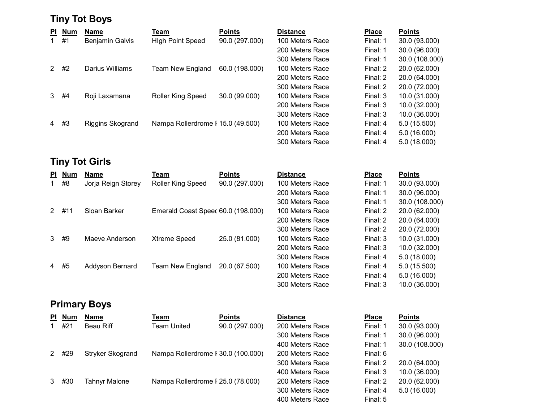# Tiny Tot Boys

| PI.            | <b>Num</b> | <b>Name</b>      | Team                              | <b>Points</b>  | <b>Distance</b> | <b>Place</b> | <b>Points</b>  |
|----------------|------------|------------------|-----------------------------------|----------------|-----------------|--------------|----------------|
| 1.             | #1         | Benjamin Galvis  | <b>High Point Speed</b>           | 90.0 (297.000) | 100 Meters Race | Final: 1     | 30.0 (93.000)  |
|                |            |                  |                                   |                | 200 Meters Race | Final: 1     | 30.0 (96.000)  |
|                |            |                  |                                   |                | 300 Meters Race | Final: 1     | 30.0 (108.000) |
| 2              | #2         | Darius Williams  | <b>Team New England</b>           | 60.0 (198.000) | 100 Meters Race | Final: 2     | 20.0 (62.000)  |
|                |            |                  |                                   |                | 200 Meters Race | Final: 2     | 20.0 (64.000)  |
|                |            |                  |                                   |                | 300 Meters Race | Final: 2     | 20.0 (72.000)  |
| 3              | #4         | Roji Laxamana    | <b>Roller King Speed</b>          | 30.0 (99.000)  | 100 Meters Race | Final: 3     | 10.0 (31.000)  |
|                |            |                  |                                   |                | 200 Meters Race | Final: 3     | 10.0 (32.000)  |
|                |            |                  |                                   |                | 300 Meters Race | Final: 3     | 10.0 (36.000)  |
| $\overline{4}$ | #3         | Riggins Skogrand | Nampa Rollerdrome F 15.0 (49.500) |                | 100 Meters Race | Final: 4     | 5.0 (15.500)   |
|                |            |                  |                                   |                | 200 Meters Race | Final: 4     | 5.0(16.000)    |
|                |            |                  |                                   |                | 300 Meters Race | Final: $4$   | 5.0(18.000)    |

# Tiny Tot Girls

| PI. | <b>Num</b> | Name               | Team                               | <b>Points</b>  | <b>Distance</b> | <b>Place</b> | <b>Points</b>  |
|-----|------------|--------------------|------------------------------------|----------------|-----------------|--------------|----------------|
|     | #8         | Jorja Reign Storey | <b>Roller King Speed</b>           | 90.0 (297.000) | 100 Meters Race | Final: 1     | 30.0 (93.000)  |
|     |            |                    |                                    |                | 200 Meters Race | Final: 1     | 30.0 (96.000)  |
|     |            |                    |                                    |                | 300 Meters Race | Final: 1     | 30.0 (108.000) |
| 2.  | #11        | Sloan Barker       | Emerald Coast Speec 60.0 (198.000) |                | 100 Meters Race | Final: 2     | 20.0 (62.000)  |
|     |            |                    |                                    |                | 200 Meters Race | Final: 2     | 20.0 (64.000)  |
|     |            |                    |                                    |                | 300 Meters Race | Final: 2     | 20.0 (72.000)  |
| 3   | #9         | Maeve Anderson     | <b>Xtreme Speed</b>                | 25.0 (81.000)  | 100 Meters Race | Final: 3     | 10.0 (31.000)  |
|     |            |                    |                                    |                | 200 Meters Race | Final: 3     | 10.0 (32.000)  |
|     |            |                    |                                    |                | 300 Meters Race | Final: 4     | 5.0(18.000)    |
| 4   | #5         | Addyson Bernard    | Team New England                   | 20.0 (67.500)  | 100 Meters Race | Final: 4     | 5.0(15.500)    |
|     |            |                    |                                    |                | 200 Meters Race | Final: 4     | 5.0(16.000)    |
|     |            |                    |                                    |                | 300 Meters Race | Final: 3     | 10.0 (36.000)  |

# Primary Boys

| ΡI | <b>Num</b> | <b>Name</b>             | Геаm                               | <b>Points</b>  | <b>Distance</b> | <b>Place</b> | <b>Points</b>  |
|----|------------|-------------------------|------------------------------------|----------------|-----------------|--------------|----------------|
|    | #21        | Beau Riff               | Team United                        | 90.0 (297.000) | 200 Meters Race | Final: 1     | 30.0 (93.000)  |
|    |            |                         |                                    |                | 300 Meters Race | Final: 1     | 30.0 (96.000)  |
|    |            |                         |                                    |                | 400 Meters Race | Final: 1     | 30.0 (108.000) |
| 2  | #29        | <b>Stryker Skogrand</b> | Nampa Rollerdrome F 30.0 (100.000) |                | 200 Meters Race | Final: 6     |                |
|    |            |                         |                                    |                | 300 Meters Race | Final: 2     | 20.0 (64.000)  |
|    |            |                         |                                    |                | 400 Meters Race | Final: 3     | 10.0 (36.000)  |
| 3  | #30        | <b>Tahnyr Malone</b>    | Nampa Rollerdrome F 25.0 (78.000)  |                | 200 Meters Race | Final: 2     | 20.0 (62.000)  |
|    |            |                         |                                    |                | 300 Meters Race | Final: 4     | 5.0(16.000)    |
|    |            |                         |                                    |                | 400 Meters Race | Final: 5     |                |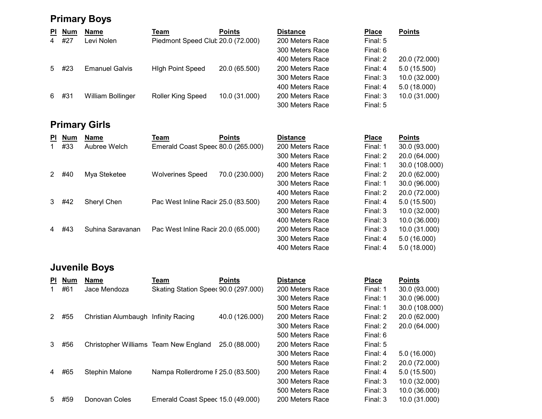# Primary Boys

| <b>PI</b>      | <b>Num</b> | <b>Name</b>           | Team                              | <b>Points</b> | <b>Distance</b> | <b>Place</b> | <b>Points</b> |
|----------------|------------|-----------------------|-----------------------------------|---------------|-----------------|--------------|---------------|
| $\overline{4}$ | #27        | Levi Nolen            | Piedmont Speed Club 20.0 (72.000) |               | 200 Meters Race | Final: 5     |               |
|                |            |                       |                                   |               | 300 Meters Race | Final: 6     |               |
|                |            |                       |                                   |               | 400 Meters Race | Final: 2     | 20.0 (72.000) |
| 5              | #23        | <b>Emanuel Galvis</b> | <b>High Point Speed</b>           | 20.0 (65.500) | 200 Meters Race | Final: 4     | 5.0(15.500)   |
|                |            |                       |                                   |               | 300 Meters Race | Final: 3     | 10.0 (32.000) |
|                |            |                       |                                   |               | 400 Meters Race | Final: 4     | 5.0(18.000)   |
| 6              | #31        | William Bollinger     | Roller King Speed                 | 10.0 (31.000) | 200 Meters Race | Final: 3     | 10.0 (31.000) |
|                |            |                       |                                   |               | 300 Meters Race | Final: 5     |               |

# Primary Girls

| <b>PI</b>      | <b>Num</b> | <b>Name</b>      | Team                                | <b>Points</b>  | <b>Distance</b> | <b>Place</b> | <b>Points</b>  |
|----------------|------------|------------------|-------------------------------------|----------------|-----------------|--------------|----------------|
|                | #33        | Aubree Welch     | Emerald Coast Speec 80.0 (265.000)  |                | 200 Meters Race | Final: 1     | 30.0 (93.000)  |
|                |            |                  |                                     |                | 300 Meters Race | Final: 2     | 20.0 (64.000)  |
|                |            |                  |                                     |                | 400 Meters Race | Final: 1     | 30.0 (108.000) |
|                | #40        | Mya Steketee     | <b>Wolverines Speed</b>             | 70.0 (230.000) | 200 Meters Race | Final: 2     | 20.0 (62.000)  |
|                |            |                  |                                     |                | 300 Meters Race | Final: 1     | 30.0 (96.000)  |
|                |            |                  |                                     |                | 400 Meters Race | Final: 2     | 20.0 (72.000)  |
| 3              | #42        | Sheryl Chen      | Pac West Inline Racir 25.0 (83.500) |                | 200 Meters Race | Final: 4     | 5.0(15.500)    |
|                |            |                  |                                     |                | 300 Meters Race | Final: 3     | 10.0 (32.000)  |
|                |            |                  |                                     |                | 400 Meters Race | Final: 3     | 10.0 (36.000)  |
| $\overline{4}$ | #43        | Suhina Saravanan | Pac West Inline Racir 20.0 (65.000) |                | 200 Meters Race | Final: 3     | 10.0 (31.000)  |
|                |            |                  |                                     |                | 300 Meters Race | Final: 4     | 5.0(16.000)    |
|                |            |                  |                                     |                | 400 Meters Race | Final: 4     | 5.0(18.000)    |

# Juvenile Boys

| PI. | <b>Num</b> | <b>Name</b>                           | Team                                 | <b>Points</b>  | <b>Distance</b> | <b>Place</b> | <b>Points</b>  |
|-----|------------|---------------------------------------|--------------------------------------|----------------|-----------------|--------------|----------------|
|     | #61        | Jace Mendoza                          | Skating Station Speed 90.0 (297.000) |                | 200 Meters Race | Final: 1     | 30.0 (93.000)  |
|     |            |                                       |                                      |                | 300 Meters Race | Final: 1     | 30.0 (96.000)  |
|     |            |                                       |                                      |                | 500 Meters Race | Final: 1     | 30.0 (108.000) |
| 2   | #55        | Christian Alumbaugh                   | Infinity Racing                      | 40.0 (126.000) | 200 Meters Race | Final: 2     | 20.0 (62.000)  |
|     |            |                                       |                                      |                | 300 Meters Race | Final: 2     | 20.0 (64.000)  |
|     |            |                                       |                                      |                | 500 Meters Race | Final: 6     |                |
| 3   | #56        | Christopher Williams Team New England |                                      | 25.0 (88.000)  | 200 Meters Race | Final: 5     |                |
|     |            |                                       |                                      |                | 300 Meters Race | Final: 4     | 5.0 (16.000)   |
|     |            |                                       |                                      |                | 500 Meters Race | Final: 2     | 20.0 (72.000)  |
| 4   | #65        | <b>Stephin Malone</b>                 | Nampa Rollerdrome F 25.0 (83.500)    |                | 200 Meters Race | Final: 4     | 5.0 (15.500)   |
|     |            |                                       |                                      |                | 300 Meters Race | Final: 3     | 10.0 (32.000)  |
|     |            |                                       |                                      |                | 500 Meters Race | Final: 3     | 10.0 (36.000)  |
| 5.  | #59        | Donovan Coles                         | Emerald Coast Speec 15.0 (49.000)    |                | 200 Meters Race | Final: 3     | 10.0 (31.000)  |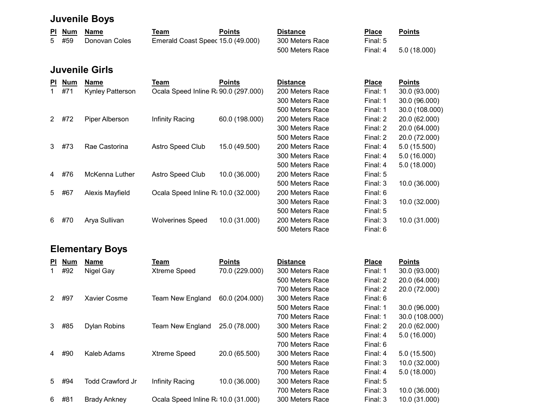# Juvenile Boys

| PI Num | Name          | Team                              | <b>Points</b> | Distance        | <b>Place</b> | <b>Points</b> |
|--------|---------------|-----------------------------------|---------------|-----------------|--------------|---------------|
| 5 #59  | Donovan Coles | Emerald Coast Speec 15.0 (49.000) |               | 300 Meters Race | Final: 5     |               |
|        |               |                                   |               | 500 Meters Race | Final: 4     | 5.0 (18.000)  |

### Juvenile Girls

| PI.           | <b>Num</b> | <b>Name</b>             | Team                                 | <b>Points</b>  | <b>Distance</b> | <b>Place</b> | <b>Points</b>  |
|---------------|------------|-------------------------|--------------------------------------|----------------|-----------------|--------------|----------------|
|               | #71        | <b>Kynley Patterson</b> | Ocala Speed Inline R: 90.0 (297.000) |                | 200 Meters Race | Final: 1     | 30.0 (93.000)  |
|               |            |                         |                                      |                | 300 Meters Race | Final: 1     | 30.0 (96.000)  |
|               |            |                         |                                      |                | 500 Meters Race | Final: 1     | 30.0 (108.000) |
| $\mathcal{P}$ | #72        | Piper Alberson          | Infinity Racing                      | 60.0 (198.000) | 200 Meters Race | Final: 2     | 20.0 (62.000)  |
|               |            |                         |                                      |                | 300 Meters Race | Final: 2     | 20.0 (64.000)  |
|               |            |                         |                                      |                | 500 Meters Race | Final: 2     | 20.0 (72.000)  |
| 3             | #73        | Rae Castorina           | Astro Speed Club                     | 15.0 (49.500)  | 200 Meters Race | Final: 4     | 5.0 (15.500)   |
|               |            |                         |                                      |                | 300 Meters Race | Final: 4     | 5.0(16.000)    |
|               |            |                         |                                      |                | 500 Meters Race | Final: 4     | 5.0(18.000)    |
| 4             | #76        | McKenna Luther          | <b>Astro Speed Club</b>              | 10.0 (36.000)  | 200 Meters Race | Final: 5     |                |
|               |            |                         |                                      |                | 500 Meters Race | Final: 3     | 10.0 (36.000)  |
| 5             | #67        | Alexis Mayfield         | Ocala Speed Inline R: 10.0 (32.000)  |                | 200 Meters Race | Final: 6     |                |
|               |            |                         |                                      |                | 300 Meters Race | Final: 3     | 10.0 (32.000)  |
|               |            |                         |                                      |                | 500 Meters Race | Final: 5     |                |
| 6             | #70        | Arya Sullivan           | <b>Wolverines Speed</b>              | 10.0 (31.000)  | 200 Meters Race | Final: 3     | 10.0 (31.000)  |
|               |            |                         |                                      |                | 500 Meters Race | Final: 6     |                |

# Elementary Boys

| <b>PI</b> | <b>Num</b> | <b>Name</b>             | Team                                | <b>Points</b>  | <b>Distance</b> | <b>Place</b> | <b>Points</b> |
|-----------|------------|-------------------------|-------------------------------------|----------------|-----------------|--------------|---------------|
|           | #92        | Nigel Gay               | Xtreme Speed                        | 70.0 (229.000) | 300 Meters Race | Final: 1     | 30.0 (93.000) |
|           |            |                         |                                     |                | 500 Meters Race | Final: 2     | 20.0 (64.000) |
|           |            |                         |                                     |                | 700 Meters Race | Final: 2     | 20.0 (72.000) |
| 2         | #97        | <b>Xavier Cosme</b>     | <b>Team New England</b>             | 60.0 (204.000) | 300 Meters Race | Final: 6     |               |
|           |            |                         |                                     |                | 500 Meters Race | Final: 1     | 30.0 (96.000) |
|           |            |                         |                                     |                | 700 Meters Race | Final: 1     | 30.0 (108.000 |
| 3         | #85        | <b>Dylan Robins</b>     | <b>Team New England</b>             | 25.0 (78.000)  | 300 Meters Race | Final: 2     | 20.0 (62.000) |
|           |            |                         |                                     |                | 500 Meters Race | Final: 4     | 5.0(16.000)   |
|           |            |                         |                                     |                | 700 Meters Race | Final: 6     |               |
| 4         | #90        | Kaleb Adams             | <b>Xtreme Speed</b>                 | 20.0 (65.500)  | 300 Meters Race | Final: 4     | 5.0(15.500)   |
|           |            |                         |                                     |                | 500 Meters Race | Final: 3     | 10.0 (32.000) |
|           |            |                         |                                     |                | 700 Meters Race | Final: 4     | 5.0(18.000)   |
| 5         | #94        | <b>Todd Crawford Jr</b> | Infinity Racing                     | 10.0 (36.000)  | 300 Meters Race | Final: 5     |               |
|           |            |                         |                                     |                | 700 Meters Race | Final: 3     | 10.0 (36.000) |
| 6         | #81        | <b>Brady Ankney</b>     | Ocala Speed Inline R: 10.0 (31.000) |                | 300 Meters Race | Final: 3     | 10.0 (31.000) |

| <b>ance:</b> | Place    | Points         |
|--------------|----------|----------------|
| Meters Race  | Final: 1 | 30.0 (93.000)  |
| Meters Race  | Final: 2 | 20.0 (64.000)  |
| Meters Race  | Final: 2 | 20.0 (72.000)  |
| Meters Race  | Final: 6 |                |
| Meters Race  | Final: 1 | 30.0 (96.000)  |
| Meters Race  | Final: 1 | 30.0 (108.000) |
| Meters Race  | Final: 2 | 20.0 (62.000)  |
| Meters Race  | Final: 4 | 5.0(16.000)    |
| Meters Race  | Final: 6 |                |
| Meters Race  | Final: 4 | 5.0 (15.500)   |
| Meters Race  | Final: 3 | 10.0 (32.000)  |
| Meters Race  | Final: 4 | 5.0(18.000)    |
| Meters Race  | Final: 5 |                |
| Meters Race  | Final: 3 | 10.0 (36.000)  |
| Meters Race  | Final: 3 | 10.0 (31.000)  |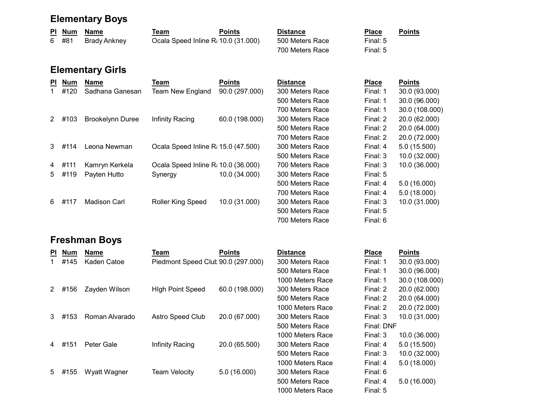#### Elementary Boys

| PI Num | Name         | Геаm                                | <b>Points</b> | <b>Distance</b> | <b>Place</b> | <b>Points</b><br>the contract of the contract of the contract of |
|--------|--------------|-------------------------------------|---------------|-----------------|--------------|------------------------------------------------------------------|
| 6 #81  | Brady Ankney | Ocala Speed Inline R: 10.0 (31.000) |               | 500 Meters Race | Final: 5     |                                                                  |
|        |              |                                     |               | 700 Meters Race | Final: 5     |                                                                  |

# Elementary Girls

| PI. | <b>Num</b> | <b>Name</b>             | Team                                | <b>Points</b>  | <b>Distance</b> | <b>Place</b> | <b>Points</b> |
|-----|------------|-------------------------|-------------------------------------|----------------|-----------------|--------------|---------------|
|     | #120       | Sadhana Ganesan         | Team New England                    | 90.0 (297.000) | 300 Meters Race | Final: 1     | 30.0 (93.000) |
|     |            |                         |                                     |                | 500 Meters Race | Final: 1     | 30.0 (96.000) |
|     |            |                         |                                     |                | 700 Meters Race | Final: 1     | 30.0 (108.000 |
| 2   | #103       | <b>Brookelynn Duree</b> | Infinity Racing                     | 60.0 (198.000) | 300 Meters Race | Final: 2     | 20.0 (62.000) |
|     |            |                         |                                     |                | 500 Meters Race | Final: 2     | 20.0 (64.000) |
|     |            |                         |                                     |                | 700 Meters Race | Final: 2     | 20.0 (72.000) |
|     | $3$ #114   | Leona Newman            | Ocala Speed Inline R: 15.0 (47.500) |                | 300 Meters Race | Final: 4     | 5.0(15.500)   |
|     |            |                         |                                     |                | 500 Meters Race | Final: 3     | 10.0 (32.000) |
| 4   | #111       | Kamryn Kerkela          | Ocala Speed Inline R: 10.0 (36.000) |                | 700 Meters Race | Final: 3     | 10.0 (36.000) |
| 5   | #119       | Payten Hutto            | Synergy                             | 10.0 (34.000)  | 300 Meters Race | Final: 5     |               |
|     |            |                         |                                     |                | 500 Meters Race | Final: 4     | 5.0(16.000)   |
|     |            |                         |                                     |                | 700 Meters Race | Final: 4     | 5.0(18.000)   |
| 6.  | #117       | Madison Carl            | Roller King Speed                   | 10.0 (31.000)  | 300 Meters Race | Final: 3     | 10.0 (31.000) |
|     |            |                         |                                     |                | 500 Meters Race | Final: 5     |               |

### Freshman Boys

| PI. | <b>Num</b> | <b>Name</b>    | Team                               | <b>Points</b>  | <b>Distance</b>  | <b>Place</b> | <b>Points</b> |
|-----|------------|----------------|------------------------------------|----------------|------------------|--------------|---------------|
|     | #145       | Kaden Catoe    | Piedmont Speed Club 90.0 (297.000) |                | 300 Meters Race  | Final: 1     | 30.0 (93.000) |
|     |            |                |                                    |                | 500 Meters Race  | Final: 1     | 30.0 (96.000) |
|     |            |                |                                    |                | 1000 Meters Race | Final: 1     | 30.0 (108.000 |
| 2   | #156       | Zayden Wilson  | <b>High Point Speed</b>            | 60.0 (198.000) | 300 Meters Race  | Final: 2     | 20.0 (62.000) |
|     |            |                |                                    |                | 500 Meters Race  | Final: 2     | 20.0 (64.000) |
|     |            |                |                                    |                | 1000 Meters Race | Final: 2     | 20.0 (72.000) |
| 3   | #153       | Roman Alvarado | Astro Speed Club                   | 20.0 (67.000)  | 300 Meters Race  | Final: 3     | 10.0 (31.000) |
|     |            |                |                                    |                | 500 Meters Race  | Final: DNF   |               |
|     |            |                |                                    |                | 1000 Meters Race | Final: 3     | 10.0 (36.000) |
| 4   | #151       | Peter Gale     | Infinity Racing                    | 20.0 (65.500)  | 300 Meters Race  | Final: 4     | 5.0(15.500)   |
|     |            |                |                                    |                | 500 Meters Race  | Final: 3     | 10.0 (32.000) |
|     |            |                |                                    |                | 1000 Meters Race | Final: 4     | 5.0(18.000)   |
|     | 5 #155     | Wyatt Wagner   | <b>Team Velocity</b>               | 5.0(16.000)    | 300 Meters Race  | Final: 6     |               |
|     |            |                |                                    |                | 500 Meters Race  | Final: 4     | 5.0(16.000)   |

| <b>Distance</b> |
|-----------------|
| 300 Meters Race |
| 500 Meters Race |
| 700 Meters Race |
| 300 Meters Race |
| 500 Meters Race |
| 700 Meters Race |
| 300 Meters Race |
| 500 Meters Race |
| 700 Meters Race |
| 300 Meters Race |
| 500 Meters Race |
| 700 Meters Race |
| 300 Meters Race |
| 500 Meters Race |
| 700 Meters Race |

| Distance         | Place      | Points         |
|------------------|------------|----------------|
| 300 Meters Race  | Final: 1   | 30.0 (93.000)  |
| 500 Meters Race  | Final: 1   | 30.0 (96.000)  |
| 1000 Meters Race | Final: 1   | 30.0 (108.000) |
| 300 Meters Race  | Final: 2   | 20.0 (62.000)  |
| 500 Meters Race  | Final: 2   | 20.0 (64.000)  |
| 1000 Meters Race | Final: 2   | 20.0 (72.000)  |
| 300 Meters Race  | Final: 3   | 10.0 (31.000)  |
| 500 Meters Race  | Final: DNF |                |
| 1000 Meters Race | Final: 3   | 10.0 (36.000)  |
| 300 Meters Race  | Final: 4   | 5.0 (15.500)   |
| 500 Meters Race  | Final: 3   | 10.0 (32.000)  |
| 1000 Meters Race | Final: 4   | 5.0(18.000)    |
| 300 Meters Race  | Final: 6   |                |
| 500 Meters Race  | Final: 4   | 5.0(16.000)    |
| 1000 Meters Race | Final: 5   |                |

Final: 5 Final: 6

Final: 1 30.0 (96.000) Final: 1 30.0 (108.000)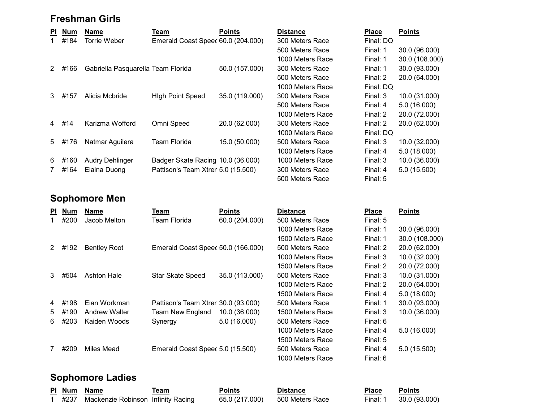#### Freshman Girls

| PI.            | <b>Num</b> | <b>Name</b>                        | Team                               | <b>Points</b>  | <b>Distance</b>  | <b>Place</b> | <b>Points</b> |
|----------------|------------|------------------------------------|------------------------------------|----------------|------------------|--------------|---------------|
|                | #184       | Torrie Weber                       | Emerald Coast Speec 60.0 (204.000) |                | 300 Meters Race  | Final: DQ    |               |
|                |            |                                    |                                    |                | 500 Meters Race  | Final: 1     | 30.0 (96.000) |
|                |            |                                    |                                    |                | 1000 Meters Race | Final: 1     | 30.0 (108.000 |
| 2              | #166       | Gabriella Pasquarella Team Florida |                                    | 50.0 (157.000) | 300 Meters Race  | Final: 1     | 30.0 (93.000) |
|                |            |                                    |                                    |                | 500 Meters Race  | Final: 2     | 20.0 (64.000) |
|                |            |                                    |                                    |                | 1000 Meters Race | Final: DQ    |               |
| 3              | #157       | Alicia Mcbride                     | <b>High Point Speed</b>            | 35.0 (119.000) | 300 Meters Race  | Final: 3     | 10.0 (31.000) |
|                |            |                                    |                                    |                | 500 Meters Race  | Final: 4     | 5.0(16.000)   |
|                |            |                                    |                                    |                | 1000 Meters Race | Final: 2     | 20.0 (72.000) |
| $\overline{4}$ | #14        | Karizma Wofford                    | Omni Speed                         | 20.0 (62.000)  | 300 Meters Race  | Final: 2     | 20.0 (62.000) |
|                |            |                                    |                                    |                | 1000 Meters Race | Final: DQ    |               |
| 5              | #176       | Natmar Aguilera                    | <b>Team Florida</b>                | 15.0 (50.000)  | 500 Meters Race  | Final: 3     | 10.0 (32.000) |
|                |            |                                    |                                    |                | 1000 Meters Race | Final: 4     | 5.0(18.000)   |
| 6              | #160       | <b>Audry Dehlinger</b>             | Badger Skate Racing 10.0 (36.000)  |                | 1000 Meters Race | Final: 3     | 10.0 (36.000) |
| $7\phantom{.}$ | #164       | Elaina Duong                       | Pattison's Team Xtren 5.0 (15.500) |                | 300 Meters Race  | Final: 4     | 5.0(15.500)   |
|                |            |                                    |                                    |                |                  |              |               |

#### Sophomore Men

| <b>PI</b> | <b>Num</b> | <b>Name</b>          | Team                                | <b>Points</b>  | <b>Distance</b>  | <b>Place</b> | <b>Points</b>  |
|-----------|------------|----------------------|-------------------------------------|----------------|------------------|--------------|----------------|
|           | #200       | Jacob Melton         | Team Florida                        | 60.0 (204.000) | 500 Meters Race  | Final: 5     |                |
|           |            |                      |                                     |                | 1000 Meters Race | Final: 1     | 30.0 (96.000)  |
|           |            |                      |                                     |                | 1500 Meters Race | Final: 1     | 30.0 (108.000) |
| 2         | #192       | <b>Bentley Root</b>  | Emerald Coast Speec 50.0 (166.000)  |                | 500 Meters Race  | Final: 2     | 20.0 (62.000)  |
|           |            |                      |                                     |                | 1000 Meters Race | Final: 3     | 10.0 (32.000)  |
|           |            |                      |                                     |                | 1500 Meters Race | Final: 2     | 20.0 (72.000)  |
| 3         | #504       | <b>Ashton Hale</b>   | <b>Star Skate Speed</b>             | 35.0 (113.000) | 500 Meters Race  | Final: 3     | 10.0 (31.000)  |
|           |            |                      |                                     |                | 1000 Meters Race | Final: 2     | 20.0 (64.000)  |
|           |            |                      |                                     |                | 1500 Meters Race | Final: 4     | 5.0(18.000)    |
| 4         | #198       | Eian Workman         | Pattison's Team Xtren 30.0 (93.000) |                | 500 Meters Race  | Final: 1     | 30.0 (93.000)  |
| 5         | #190       | <b>Andrew Walter</b> | <b>Team New England</b>             | 10.0 (36.000)  | 1500 Meters Race | Final: 3     | 10.0 (36.000)  |
| 6         | #203       | Kaiden Woods         | Synergy                             | 5.0(16.000)    | 500 Meters Race  | Final: 6     |                |
|           |            |                      |                                     |                | 1000 Meters Race | Final: 4     | 5.0(16.000)    |
|           |            |                      |                                     |                | 1500 Meters Race | Final: 5     |                |
|           | #209       | Miles Mead           | Emerald Coast Speec 5.0 (15.500)    |                | 500 Meters Race  | Final: 4     | 5.0 (15.500)   |
|           |            |                      |                                     |                | 1000 Meters Race | Final: 6     |                |

#### Sophomore Ladies

|  | PI Num Name                             | Геаm | Points         | Distance        | Place    | <b>Points</b> |
|--|-----------------------------------------|------|----------------|-----------------|----------|---------------|
|  | #237 Mackenzie Robinson Infinity Racing |      | 65.0 (217.000) | 500 Meters Race | Final: 1 | 30.0 (93.000) |

500 Meters Race Final: 1 30.0 (96.000) 1000 Meters Race Final: 1 30.0 (108.000) 500 Meters Race Final: 2 20.0 (64.000) 1000 Meters Race Final: DQ 500 Meters Race Final: 4 5.0 (16.000) 1000 Meters Race Final: 2 20.0 (72.000) 1000 Meters Race Final: DQ 1000 Meters Race Final: 4 5.0 (18.000) 500 Meters Race Final: 5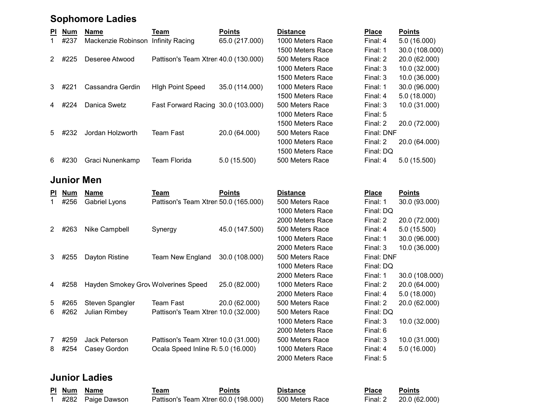#### Sophomore Ladies

| PI.            | <b>Num</b> | <b>Name</b>                        | Team                                 | <b>Points</b>  | <b>Distance</b>  | <b>Place</b> | <b>Points</b> |
|----------------|------------|------------------------------------|--------------------------------------|----------------|------------------|--------------|---------------|
|                | #237       | Mackenzie Robinson Infinity Racing |                                      | 65.0 (217.000) | 1000 Meters Race | Final: 4     | 5.0(16.000)   |
|                |            |                                    |                                      |                | 1500 Meters Race | Final: 1     | 30.0 (108.000 |
| 2              | #225       | Deseree Atwood                     | Pattison's Team Xtren 40.0 (130.000) |                | 500 Meters Race  | Final: 2     | 20.0 (62.000) |
|                |            |                                    |                                      |                | 1000 Meters Race | Final: 3     | 10.0 (32.000) |
|                |            |                                    |                                      |                | 1500 Meters Race | Final: 3     | 10.0 (36.000) |
| 3              | #221       | Cassandra Gerdin                   | <b>High Point Speed</b>              | 35.0 (114.000) | 1000 Meters Race | Final: 1     | 30.0 (96.000) |
|                |            |                                    |                                      |                | 1500 Meters Race | Final: 4     | 5.0(18.000)   |
| 4              | #224       | Danica Swetz                       | Fast Forward Racing 30.0 (103.000)   |                | 500 Meters Race  | Final: 3     | 10.0 (31.000) |
|                |            |                                    |                                      |                | 1000 Meters Race | Final: 5     |               |
|                |            |                                    |                                      |                | 1500 Meters Race | Final: 2     | 20.0 (72.000) |
| 5 <sup>5</sup> | #232       | Jordan Holzworth                   | <b>Team Fast</b>                     | 20.0 (64.000)  | 500 Meters Race  | Final: DNF   |               |
|                |            |                                    |                                      |                | 1000 Meters Race | Final: 2     | 20.0 (64.000) |
|                |            |                                    |                                      |                | 1500 Meters Race | Final: DQ    |               |
| 6.             | #230       | Graci Nunenkamp                    | Team Florida                         | 5.0(15.500)    | 500 Meters Race  | Final: 4     | 5.0(15.500)   |
|                |            |                                    |                                      |                |                  |              |               |

#### Junior Men

| PI.            | <b>Num</b> | <b>Name</b>                         | Team                                 | <b>Points</b>  | <b>Distance</b>  | <b>Place</b> | <b>Points</b> |
|----------------|------------|-------------------------------------|--------------------------------------|----------------|------------------|--------------|---------------|
|                | #256       | <b>Gabriel Lyons</b>                | Pattison's Team Xtren 50.0 (165.000) |                | 500 Meters Race  | Final: 1     | 30.0 (93.000) |
|                |            |                                     |                                      |                | 1000 Meters Race | Final: DQ    |               |
|                |            |                                     |                                      |                | 2000 Meters Race | Final: 2     | 20.0 (72.000) |
| 2              | #263       | Nike Campbell                       | Synergy                              | 45.0 (147.500) | 500 Meters Race  | Final: 4     | 5.0(15.500)   |
|                |            |                                     |                                      |                | 1000 Meters Race | Final: 1     | 30.0 (96.000) |
|                |            |                                     |                                      |                | 2000 Meters Race | Final: 3     | 10.0 (36.000) |
| 3              | #255       | Dayton Ristine                      | Team New England                     | 30.0 (108.000) | 500 Meters Race  | Final: DNF   |               |
|                |            |                                     |                                      |                | 1000 Meters Race | Final: DQ    |               |
|                |            |                                     |                                      |                | 2000 Meters Race | Final: 1     | 30.0 (108.000 |
| 4              | #258       | Hayden Smokey Grov Wolverines Speed |                                      | 25.0 (82.000)  | 1000 Meters Race | Final: 2     | 20.0 (64.000) |
|                |            |                                     |                                      |                | 2000 Meters Race | Final: 4     | 5.0(18.000)   |
| 5              | #265       | Steven Spangler                     | Team Fast                            | 20.0 (62.000)  | 500 Meters Race  | Final: 2     | 20.0 (62.000) |
| 6              | #262       | Julian Rimbey                       | Pattison's Team Xtren 10.0 (32.000)  |                | 500 Meters Race  | Final: DQ    |               |
|                |            |                                     |                                      |                | 1000 Meters Race | Final: 3     | 10.0 (32.000) |
|                |            |                                     |                                      |                | 2000 Meters Race | Final: 6     |               |
| $\overline{7}$ | #259       | Jack Peterson                       | Pattison's Team Xtren 10.0 (31.000)  |                | 500 Meters Race  | Final: 3     | 10.0 (31.000) |
| 8              | #254       | Casey Gordon                        | Ocala Speed Inline R: 5.0 (16.000)   |                | 1000 Meters Race | Final: 4     | 5.0(16.000)   |
|                |            |                                     |                                      |                | 2000 Motoro Dooo | EinalE       |               |

## Junior Ladies

| PI Num | Name             |
|--------|------------------|
|        | #282 Paige Dawsc |

Pl Num Name **Team Ream Points** Points Distance **Place** Points 0n Pattison's Team Xtren 60.0 (198.000) 500 Meters Race Final: 2 20.0 (62.000)

| <b>Distance</b>  | <b>Place</b> | <b>Points</b>     |
|------------------|--------------|-------------------|
| 1000 Meters Race | Final: 4     | 5.0 (16.000)      |
| 1500 Meters Race | Final: 1     | 30.0 (108.000)    |
| 500 Meters Race  | Final: 2     | 20.0 (62.000)     |
| 1000 Meters Race | Final: 3     | 10.0 (32.000)     |
| 1500 Meters Race | Final: 3     | 10.0 (36.000)     |
| 1000 Meters Race | Final: 1     | 30.0 (96.000)     |
| 1500 Meters Race | Final: 4     | 5.0 (18.000)      |
| 500 Meters Race  | Final: $3$   | 10.0 (31.000)     |
| 1000 Meters Race | Final: 5     |                   |
| 1500 Meters Race | Final: 2     | 20.0 (72.000)     |
| 500 Meters Race  | Final: DNF   |                   |
| 1000 Meters Race | Final: 2     | 20.0 (64.000)     |
| 1500 Meters Race | Final: DQ    |                   |
|                  |              | - ^ / / - - ^ ^ \ |

| <b>Distance</b>  | <b>Place</b> | Points         |
|------------------|--------------|----------------|
| 500 Meters Race  | Final: 1     | 30.0 (93.000)  |
| 1000 Meters Race | Final: DQ    |                |
| 2000 Meters Race | Final: 2     | 20.0 (72.000)  |
| 500 Meters Race  | Final: 4     | 5.0 (15.500)   |
| 1000 Meters Race | Final: 1     | 30.0 (96.000)  |
| 2000 Meters Race | Final: 3     | 10.0 (36.000)  |
| 500 Meters Race  | Final: DNF   |                |
| 1000 Meters Race | Final: DQ    |                |
| 2000 Meters Race | Final: 1     | 30.0 (108.000) |
| 1000 Meters Race | Final: 2     | 20.0 (64.000)  |
| 2000 Meters Race | Final: 4     | 5.0 (18.000)   |
| 500 Meters Race  | Final: 2     | 20.0 (62.000)  |
| 500 Meters Race  | Final: DQ    |                |
| 1000 Meters Race | Final: 3     | 10.0 (32.000)  |
| 2000 Meters Race | Final: 6     |                |
| 500 Meters Race  | Final: 3     | 10.0 (31.000)  |
| 1000 Meters Race | Final: 4     | 5.0 (16.000)   |
| 2000 Meters Race | Final: 5     |                |
|                  |              |                |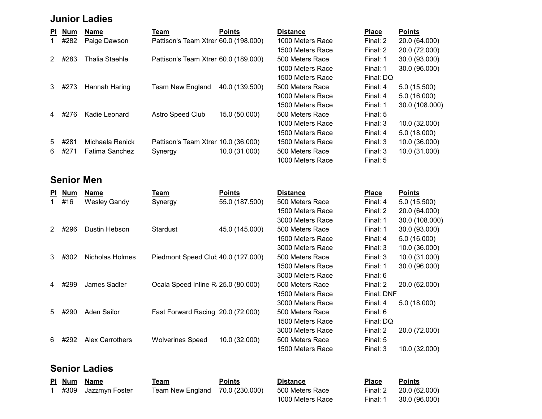#### Junior Ladies

| PI. | <b>Num</b> | Name                  | Team                                 | <b>Points</b>  | <b>Distance</b>  | <b>Place</b> | <b>Points</b> |
|-----|------------|-----------------------|--------------------------------------|----------------|------------------|--------------|---------------|
| 1.  | #282       | Paige Dawson          | Pattison's Team Xtren 60.0 (198.000) |                | 1000 Meters Race | Final: 2     | 20.0 (64.000) |
|     |            |                       |                                      |                | 1500 Meters Race | Final: 2     | 20.0 (72.000) |
| 2   | #283       | <b>Thalia Staehle</b> | Pattison's Team Xtren 60.0 (189.000) |                | 500 Meters Race  | Final: 1     | 30.0 (93.000) |
|     |            |                       |                                      |                | 1000 Meters Race | Final: 1     | 30.0 (96.000) |
|     |            |                       |                                      |                | 1500 Meters Race | Final: DQ    |               |
| 3   | #273       | Hannah Haring         | <b>Team New England</b>              | 40.0 (139.500) | 500 Meters Race  | Final: 4     | 5.0(15.500)   |
|     |            |                       |                                      |                | 1000 Meters Race | Final: 4     | 5.0(16.000)   |
|     |            |                       |                                      |                | 1500 Meters Race | Final: 1     | 30.0 (108.000 |
| 4   | #276       | Kadie Leonard         | <b>Astro Speed Club</b>              | 15.0 (50.000)  | 500 Meters Race  | Final: 5     |               |
|     |            |                       |                                      |                | 1000 Meters Race | Final: 3     | 10.0 (32.000) |
|     |            |                       |                                      |                | 1500 Meters Race | Final: 4     | 5.0(18.000)   |
| 5   | #281       | Michaela Renick       | Pattison's Team Xtren 10.0 (36.000)  |                | 1500 Meters Race | Final: 3     | 10.0 (36.000) |
| 6.  | #271       | <b>Fatima Sanchez</b> | Synergy                              | 10.0 (31.000)  | 500 Meters Race  | Final: 3     | 10.0 (31.000) |
|     |            |                       |                                      |                | $\sqrt{2}$       |              |               |

#### Senior Men

| PI. | <u>Num</u> | Name                   | <u>Team</u>                         | <b>Points</b>  | <b>Distance</b>  | <b>Place</b> | <b>Points</b> |
|-----|------------|------------------------|-------------------------------------|----------------|------------------|--------------|---------------|
| 1   | #16        | <b>Wesley Gandy</b>    | Synergy                             | 55.0 (187.500) | 500 Meters Race  | Final: 4     | 5.0(15.500)   |
|     |            |                        |                                     |                | 1500 Meters Race | Final: 2     | 20.0 (64.000) |
|     |            |                        |                                     |                | 3000 Meters Race | Final: 1     | 30.0 (108.000 |
|     | #296       | Dustin Hebson          | Stardust                            | 45.0 (145.000) | 500 Meters Race  | Final: 1     | 30.0 (93.000) |
|     |            |                        |                                     |                | 1500 Meters Race | Final: 4     | 5.0(16.000)   |
|     |            |                        |                                     |                | 3000 Meters Race | Final: 3     | 10.0 (36.000) |
| 3   | #302       | Nicholas Holmes        | Piedmont Speed Club 40.0 (127.000)  |                | 500 Meters Race  | Final: 3     | 10.0 (31.000) |
|     |            |                        |                                     |                | 1500 Meters Race | Final: 1     | 30.0 (96.000) |
|     |            |                        |                                     |                | 3000 Meters Race | Final: 6     |               |
|     | 4 #299     | James Sadler           | Ocala Speed Inline R: 25.0 (80.000) |                | 500 Meters Race  | Final: 2     | 20.0 (62.000) |
|     |            |                        |                                     |                | 1500 Meters Race | Final: DNF   |               |
|     |            |                        |                                     |                | 3000 Meters Race | Final: 4     | 5.0(18.000)   |
| 5   | #290       | <b>Aden Sailor</b>     | Fast Forward Racing 20.0 (72.000)   |                | 500 Meters Race  | Final: 6     |               |
|     |            |                        |                                     |                | 1500 Meters Race | Final: DQ    |               |
|     |            |                        |                                     |                | 3000 Meters Race | Final: 2     | 20.0 (72.000) |
| 6   | #292       | <b>Alex Carrothers</b> | <b>Wolverines Speed</b>             | 10.0 (32.000)  | 500 Meters Race  | Final: 5     |               |
|     |            |                        |                                     |                | 1500 Meters Race | Final: 3     | 10.0 (32.000) |

## Senior Ladies

|  | <u>PI Num Name</u>    | <u>Team</u>                                     | <b>Points</b> | <b>Distance</b> | <b>Place</b>      | <b>Points</b> |
|--|-----------------------|-------------------------------------------------|---------------|-----------------|-------------------|---------------|
|  | 1 #309 Jazzmyn Foster | Team New England 70.0 (230.000) 500 Meters Race |               |                 | Final: 2 20.0 (6) |               |

1000 Meters Race Final: 5

| <b>Distance</b>  | <b>Place</b> | <b>Points</b>  |
|------------------|--------------|----------------|
| 1000 Meters Race | Final: 2     | 20.0 (64.000)  |
| 1500 Meters Race | Final: 2     | 20.0 (72.000)  |
| 500 Meters Race  | Final: 1     | 30.0 (93.000)  |
| 1000 Meters Race | Final: 1     | 30.0 (96.000)  |
| 1500 Meters Race | Final: DQ    |                |
| 500 Meters Race  | Final: 4     | 5.0 (15.500)   |
| 1000 Meters Race | Final: 4     | 5.0(16.000)    |
| 1500 Meters Race | Final: 1     | 30.0 (108.000) |
| 500 Meters Race  | Final: 5     |                |
| 1000 Meters Race | Final: 3     | 10.0 (32.000)  |
| 1500 Meters Race | Final: 4     | 5.0(18.000)    |
| 1500 Meters Race | Final: 3     | 10.0 (36.000)  |
|                  |              |                |

| Points        |
|---------------|
| 5.0 (15.500)  |
| 20.0 (64.000) |
| 30.0 (108.000 |
| 30.0 (93.000) |
| 5.0 (16.000)  |
| 10.0 (36.000) |
| 10.0 (31.000) |
| 30.0 (96.000) |
|               |
| 20.0 (62.000) |
| Final: DNF    |
| 5.0 (18.000)  |
|               |
|               |
| 20.0 (72.000) |
|               |
| 10.0 (32.000) |
|               |

1 Team New England 70.0 (230.000) 500 Meters Race Final: 2 20.0 (62.000) 1000 Meters Race Final: 1 30.0 (96.000)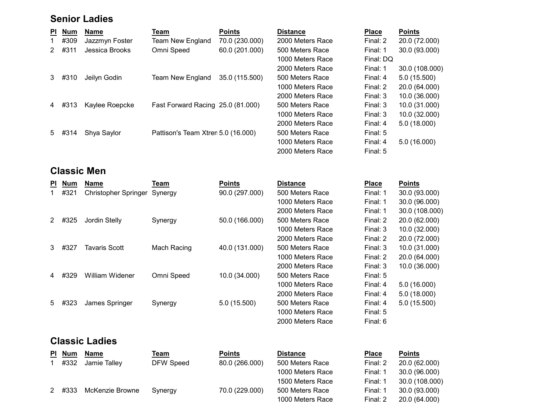## Senior Ladies

| <b>PI</b> | <b>Num</b> | Name           | Team                               | <b>Points</b>  | <b>Distance</b>  | <b>Place</b> | <b>Points</b>  |
|-----------|------------|----------------|------------------------------------|----------------|------------------|--------------|----------------|
|           | #309       | Jazzmyn Foster | <b>Team New England</b>            | 70.0 (230.000) | 2000 Meters Race | Final: 2     | 20.0 (72.000)  |
| 2         | #311       | Jessica Brooks | Omni Speed                         | 60.0 (201.000) | 500 Meters Race  | Final: 1     | 30.0 (93.000)  |
|           |            |                |                                    |                | 1000 Meters Race | Final: DQ    |                |
|           |            |                |                                    |                | 2000 Meters Race | Final: 1     | 30.0 (108.000) |
| 3         | #310       | Jeilyn Godin   | <b>Team New England</b>            | 35.0 (115.500) | 500 Meters Race  | Final: 4     | 5.0 (15.500)   |
|           |            |                |                                    |                | 1000 Meters Race | Final: 2     | 20.0 (64.000)  |
|           |            |                |                                    |                | 2000 Meters Race | Final: 3     | 10.0 (36.000)  |
| 4         | #313       | Kaylee Roepcke | Fast Forward Racing 25.0 (81.000)  |                | 500 Meters Race  | Final: 3     | 10.0 (31.000)  |
|           |            |                |                                    |                | 1000 Meters Race | Final: 3     | 10.0 (32.000)  |
|           |            |                |                                    |                | 2000 Meters Race | Final: 4     | 5.0(18.000)    |
| 5         | #314       | Shya Saylor    | Pattison's Team Xtren 5.0 (16.000) |                | 500 Meters Race  | Final: 5     |                |
|           |            |                |                                    |                | 1000 Meters Race | Final: 4     | 5.0(16.000)    |
|           |            |                |                                    |                | 2000 Meters Race | Final: 5     |                |
|           |            |                |                                    |                |                  |              |                |

## Classic Men

| <b>PI</b> | <b>Num</b>                  | Name                        | Team        | <b>Points</b>  | <b>Distance</b>  | <b>Place</b> | <b>Points</b>  |  |  |
|-----------|-----------------------------|-----------------------------|-------------|----------------|------------------|--------------|----------------|--|--|
|           | #321                        | <b>Christopher Springer</b> | Synergy     | 90.0 (297.000) | 500 Meters Race  | Final: 1     | 30.0 (93.000)  |  |  |
|           |                             |                             |             |                | 1000 Meters Race | Final: 1     | 30.0 (96.000)  |  |  |
|           |                             |                             |             |                | 2000 Meters Race | Final: 1     | 30.0 (108.000) |  |  |
| 2         | #325                        | Jordin Stelly               | Synergy     | 50.0 (166.000) | 500 Meters Race  | Final: 2     | 20.0 (62.000)  |  |  |
|           |                             |                             |             |                | 1000 Meters Race | Final: 3     | 10.0 (32.000)  |  |  |
|           |                             |                             |             |                | 2000 Meters Race | Final: 2     | 20.0 (72.000)  |  |  |
| 3         | #327                        | <b>Tavaris Scott</b>        | Mach Racing | 40.0 (131.000) | 500 Meters Race  | Final: 3     | 10.0 (31.000)  |  |  |
|           |                             |                             |             |                | 1000 Meters Race | Final: 2     | 20.0 (64.000)  |  |  |
|           |                             |                             |             |                | 2000 Meters Race | Final: 3     | 10.0 (36.000)  |  |  |
| 4         | #329                        | William Widener             | Omni Speed  | 10.0 (34.000)  | 500 Meters Race  | Final: 5     |                |  |  |
|           |                             |                             |             |                | 1000 Meters Race | Final: 4     | 5.0 (16.000)   |  |  |
|           |                             |                             |             |                | 2000 Meters Race | Final: 4     | 5.0(18.000)    |  |  |
| 5         | #323                        | James Springer              | Synergy     | 5.0 (15.500)   | 500 Meters Race  | Final: 4     | 5.0 (15.500)   |  |  |
|           |                             |                             |             |                | 1000 Meters Race | Final: 5     |                |  |  |
|           |                             |                             |             |                | 2000 Meters Race | Final: 6     |                |  |  |
|           | <b>Classic Ladies</b>       |                             |             |                |                  |              |                |  |  |
|           | <b>PI</b> N <sub>II</sub> m | Name                        | Taam        | <b>Pointe</b>  | <b>Distance</b>  | <b>Place</b> | <b>Pointe</b>  |  |  |

| PI Num | Name            | <u>Team</u> | <b>Points</b>  | <b>Distance</b>  | <b>Place</b> | <b>Points</b>  |
|--------|-----------------|-------------|----------------|------------------|--------------|----------------|
| #332   | Jamie Tallev    | DFW Speed   | 80.0 (266.000) | 500 Meters Race  | Final: 2     | 20.0 (62.000)  |
|        |                 |             |                | 1000 Meters Race | Final: 1     | 30.0 (96.000)  |
|        |                 |             |                | 1500 Meters Race | Final: 1     | 30.0 (108.000) |
| 2 #333 | McKenzie Browne | Synergy     | 70.0 (229.000) | 500 Meters Race  | Final: 1     | 30.0 (93.000)  |
|        |                 |             |                | 1000 Meters Race | Final: 2     | 20.0 (64.000)  |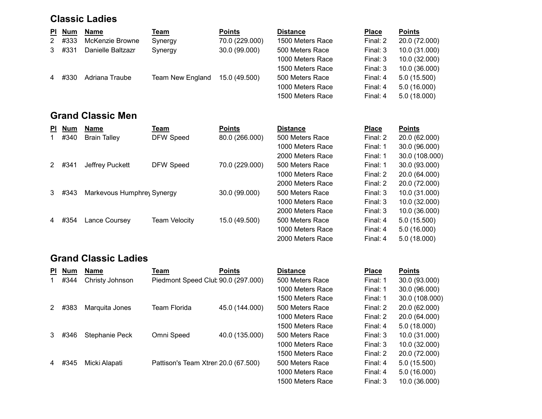#### Classic Ladies

| PL             | <b>Num</b> | Name              | <u>Team</u>      | <b>Points</b>  | <b>Distance</b>  | <b>Place</b> | <b>Points</b> |
|----------------|------------|-------------------|------------------|----------------|------------------|--------------|---------------|
| 2              | #333       | McKenzie Browne   | Synergy          | 70.0 (229.000) | 1500 Meters Race | Final: 2     | 20.0 (72.000) |
| 3              | #331       | Danielle Baltzazr | Synergy          | 30.0 (99.000)  | 500 Meters Race  | Final: 3     | 10.0 (31.000) |
|                |            |                   |                  |                | 1000 Meters Race | Final: 3     | 10.0 (32.000) |
|                |            |                   |                  |                | 1500 Meters Race | Final: 3     | 10.0 (36.000) |
| $\overline{4}$ | #330       | Adriana Traube    | Team New England | 15.0 (49.500)  | 500 Meters Race  | Final: 4     | 5.0(15.500)   |
|                |            |                   |                  |                | 1000 Meters Race | Final: 4     | 5.0(16.000)   |
|                |            |                   |                  |                | 1500 Meters Race | Final: 4     | 5.0(18.000)   |

# Grand Classic Men

| ΡI | <b>Num</b> | <b>Name</b>                | Team          | <b>Points</b>  | <b>Distance</b>  | <b>Place</b> | <b>Points</b>  |
|----|------------|----------------------------|---------------|----------------|------------------|--------------|----------------|
|    | #340       | <b>Brain Talley</b>        | DFW Speed     | 80.0 (266.000) | 500 Meters Race  | Final: 2     | 20.0 (62.000)  |
|    |            |                            |               |                | 1000 Meters Race | Final: 1     | 30.0 (96.000)  |
|    |            |                            |               |                | 2000 Meters Race | Final: 1     | 30.0 (108.000) |
| 2  | #341       | Jeffrey Puckett            | DFW Speed     | 70.0 (229.000) | 500 Meters Race  | Final: 1     | 30.0 (93.000)  |
|    |            |                            |               |                | 1000 Meters Race | Final: 2     | 20.0 (64.000)  |
|    |            |                            |               |                | 2000 Meters Race | Final: 2     | 20.0 (72.000)  |
| 3  | #343       | Markevous Humphrey Synergy |               | 30.0 (99.000)  | 500 Meters Race  | Final: 3     | 10.0 (31.000)  |
|    |            |                            |               |                | 1000 Meters Race | Final: 3     | 10.0 (32.000)  |
|    |            |                            |               |                | 2000 Meters Race | Final: 3     | 10.0 (36.000)  |
| 4  | #354       | Lance Coursey              | Team Velocity | 15.0 (49.500)  | 500 Meters Race  | Final: 4     | 5.0 (15.500)   |
|    |            |                            |               |                | 1000 Meters Race | Final: 4     | 5.0(16.000)    |
|    |            |                            |               |                | 2000 Meters Race | Final: 4     | 5.0(18.000)    |

## Grand Classic Ladies

| PI. | <b>Num</b> | <b>Name</b>     | Team                                | <b>Points</b>  | <b>Distance</b>  | <b>Place</b> | <b>Points</b>  |
|-----|------------|-----------------|-------------------------------------|----------------|------------------|--------------|----------------|
|     | #344       | Christy Johnson | Piedmont Speed Club 90.0 (297.000)  |                | 500 Meters Race  | Final: 1     | 30.0 (93.000)  |
|     |            |                 |                                     |                | 1000 Meters Race | Final: 1     | 30.0 (96.000)  |
|     |            |                 |                                     |                | 1500 Meters Race | Final: 1     | 30.0 (108.000) |
| 2   | #383       | Marquita Jones  | <b>Team Florida</b>                 | 45.0 (144.000) | 500 Meters Race  | Final: 2     | 20.0 (62.000)  |
|     |            |                 |                                     |                | 1000 Meters Race | Final: 2     | 20.0 (64.000)  |
|     |            |                 |                                     |                | 1500 Meters Race | Final: 4     | 5.0(18.000)    |
| 3.  | #346       | Stephanie Peck  | Omni Speed                          | 40.0 (135.000) | 500 Meters Race  | Final: 3     | 10.0 (31.000)  |
|     |            |                 |                                     |                | 1000 Meters Race | Final: 3     | 10.0 (32.000)  |
|     |            |                 |                                     |                | 1500 Meters Race | Final: 2     | 20.0 (72.000)  |
| 4   | #345       | Micki Alapati   | Pattison's Team Xtren 20.0 (67.500) |                | 500 Meters Race  | Final: 4     | 5.0 (15.500)   |
|     |            |                 |                                     |                | 1000 Meters Race | Final: 4     | 5.0(16.000)    |
|     |            |                 |                                     |                | 1500 Meters Race | Final: 3     | 10.0 (36.000)  |

| <b>Place</b> | Points        |
|--------------|---------------|
| Final: 1     | 30.0 (93.000) |
| Final: 1     | 30.0 (96.000) |
| Final: 1     | 30.0 (108.000 |
| Final: 2     | 20.0 (62.000) |
| Final: 2     | 20.0 (64.000) |
| Final: 4     | 5.0(18.000)   |
| Final: 3     | 10.0 (31.000) |
| Final: 3     | 10.0 (32.000) |
| Final: 2     | 20.0 (72.000) |
| Final: 4     | 5.0 (15.500)  |
| Final: 4     | 5.0 (16.000)  |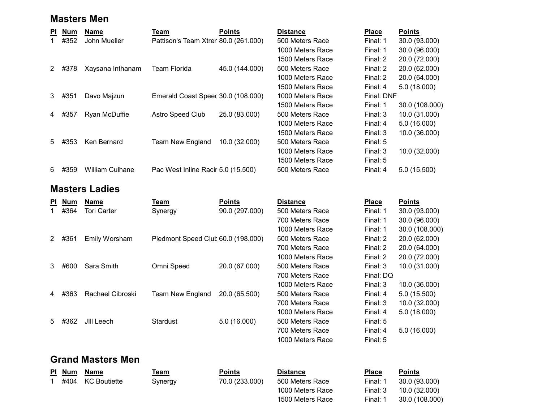#### Masters Men

| <b>PI</b> | <b>Num</b> | <b>Name</b>            | Team                                 | <b>Points</b>  | <b>Distance</b>  | <b>Place</b> | <b>Points</b>  |
|-----------|------------|------------------------|--------------------------------------|----------------|------------------|--------------|----------------|
|           | #352       | John Mueller           | Pattison's Team Xtren 80.0 (261.000) |                | 500 Meters Race  | Final: 1     | 30.0 (93.000)  |
|           |            |                        |                                      |                | 1000 Meters Race | Final: 1     | 30.0 (96.000)  |
|           |            |                        |                                      |                | 1500 Meters Race | Final: 2     | 20.0 (72.000)  |
| 2         | #378       | Xaysana Inthanam       | Team Florida                         | 45.0 (144.000) | 500 Meters Race  | Final: 2     | 20.0 (62.000)  |
|           |            |                        |                                      |                | 1000 Meters Race | Final: 2     | 20.0 (64.000)  |
|           |            |                        |                                      |                | 1500 Meters Race | Final: 4     | 5.0(18.000)    |
| 3         | #351       | Davo Majzun            | Emerald Coast Speec 30.0 (108.000)   |                | 1000 Meters Race | Final: DNF   |                |
|           |            |                        |                                      |                | 1500 Meters Race | Final: 1     | 30.0 (108.000) |
| 4         | #357       | Ryan McDuffie          | Astro Speed Club                     | 25.0 (83.000)  | 500 Meters Race  | Final: 3     | 10.0 (31.000)  |
|           |            |                        |                                      |                | 1000 Meters Race | Final: 4     | 5.0(16.000)    |
|           |            |                        |                                      |                | 1500 Meters Race | Final: 3     | 10.0 (36.000)  |
| 5         | #353       | Ken Bernard            | <b>Team New England</b>              | 10.0 (32.000)  | 500 Meters Race  | Final: 5     |                |
|           |            |                        |                                      |                | 1000 Meters Race | Final: 3     | 10.0 (32.000)  |
|           |            |                        |                                      |                | 1500 Meters Race | Final: 5     |                |
| 6         | #359       | <b>William Culhane</b> | Pac West Inline Racir 5.0 (15.500)   |                | 500 Meters Race  | Final: 4     | 5.0 (15.500)   |
|           |            | <b>Masters Ladies</b>  |                                      |                |                  |              |                |
| <b>PI</b> | <b>Num</b> | <b>Name</b>            | Team                                 | <b>Points</b>  | <b>Distance</b>  | <b>Place</b> | <b>Points</b>  |
|           | #364       | Tori Carter            | Synergy                              | 90.0 (297.000) | 500 Meters Race  | Final: 1     | 30.0 (93.000)  |
|           |            |                        |                                      |                | 700 Meters Race  | Final: 1     | 30.0 (96.000)  |

| 2 | #361 | Emily Worsham    | Piedmont Speed Club 60.0 (198.000) |               |
|---|------|------------------|------------------------------------|---------------|
| 3 | #600 | Sara Smith       | Omni Speed                         | 20.0 (67.000) |
| 4 | #363 | Rachael Cibroski | Team New England                   | 20.0 (65.500) |
| 5 |      | #362 JIII Leech  | Stardust                           | 5.0(16.000)   |

## 1000 Meters Race Final: 1 30.0 (108.000) 2 500 Meters Race Final: 2 #361 Emily Worsham Piedmont Speed Club60.0 (198.000) 20.0 (62.000) 700 Meters Race Final: 2 20.0 (64.000) 1000 Meters Race Final: 2 20.0 (72.000) 3 500 Meters Race Final: 3 #600 Sara Smith Omni Speed 20.0 (67.000) 10.0 (31.000) 700 Meters Race Final 1000 Meters Race Final: 3 10.0 (36.000) 500 Meters Race Final: 4  $5.0$  (15.500) 700 Meters Race Final: 3 10.0 (32.000)<br>1000 Meters Race Final: 4 5.0 (18.000) 1000 Meters Race Final: 4 5.0 (18.000) 500 Meters Race Final: 5 700 Meters Race Final: 4 5.0 (16.000) 1000 Meters Race Final: 5

| nal: 1  | 30.0 (108. |
|---------|------------|
| nal: 2  | 20.0 (62.0 |
| nal: 2  | 20.0 (64.0 |
| nal: 2  | 20.0 (72.0 |
| nal: 3  | 10.0 (31.0 |
| nal: DQ |            |
| nal: 3  | 10.0 (36.0 |
| nal: 4  | 5.0 (15.50 |
| nal: 3  | 10.0 (32.0 |
| nal: 4  | 5.0 (18.00 |
| nal: 5  |            |

## Grand Masters Men

|  | PI Num Name         | ™eam    | Points                         | <b>Distance</b> | <b>Place</b> | <b>Points</b> |
|--|---------------------|---------|--------------------------------|-----------------|--------------|---------------|
|  | 1 #404 KC Boutiette | Synergy | 70.0 (233.000) 500 Meters Race |                 | Final: 1     | 30.0(9)       |

1 1 500 Meters Race Final: 1  $14$  30.0 (93.000) 300 Meters Race

|  |  | Points |
|--|--|--------|
|  |  |        |

1000 Meters Race Final: 3 10.0 (32.000) 1500 Meters Race Final: 1 30.0 (108.000)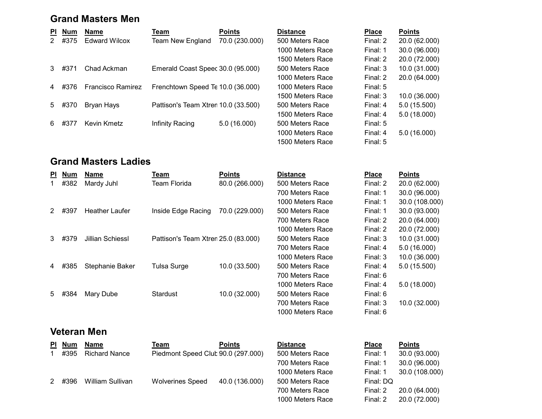### Grand Masters Men

| PI.            | Num  | Name                     | Team                                | <b>Points</b>  | <b>Distance</b>                    | <b>Place</b> | <b>Points</b>   |
|----------------|------|--------------------------|-------------------------------------|----------------|------------------------------------|--------------|-----------------|
| 2              | #375 | <b>Edward Wilcox</b>     | Team New England                    | 70.0 (230.000) | 500 Meters Race                    | Final: 2     | 20.0 (62.000    |
|                |      |                          |                                     |                | 1000 Meters Race                   | Final: 1     | 30.0 (96.000    |
|                |      |                          |                                     |                | 1500 Meters Race                   | Final: 2     | 20.0 (72.000    |
| $\mathbf{3}$   | #371 | Chad Ackman              | Emerald Coast Speec 30.0 (95.000)   |                | 500 Meters Race                    | Final: 3     | 10.0 (31.000    |
|                |      |                          |                                     |                | 1000 Meters Race                   | Final: 2     | 20.0 (64.000    |
| $\overline{4}$ | #376 | <b>Francisco Ramirez</b> | Frenchtown Speed Te 10.0 (36.000)   |                | 1000 Meters Race                   | Final: 5     |                 |
|                |      |                          |                                     |                | 1500 Meters Race                   | Final: 3     | 10.0 (36.000    |
| 5              | #370 | Bryan Hays               | Pattison's Team Xtren 10.0 (33.500) |                | 500 Meters Race                    | Final: 4     | 5.0(15.500)     |
|                |      |                          |                                     |                | 1500 Meters Race                   | Final: 4     | 5.0(18.000)     |
| 6.             | #377 | Kevin Kmetz              | Infinity Racing                     | 5.0(16.000)    | 500 Meters Race                    | Final: 5     |                 |
|                |      |                          |                                     |                | $\sim$ $\sim$ $\sim$ $\sim$ $\sim$ |              | - ^ / / ^ ^^^ ^ |

| <b>Distance</b>  | <b>Place</b> | <b>Points</b> |
|------------------|--------------|---------------|
| 500 Meters Race  | Final: 2     | 20.0 (62.000) |
| 1000 Meters Race | Final: 1     | 30.0 (96.000) |
| 1500 Meters Race | Final: 2     | 20.0 (72.000) |
| 500 Meters Race  | Final: 3     | 10.0 (31.000) |
| 1000 Meters Race | Final: 2     | 20.0 (64.000) |
| 1000 Meters Race | Final: $5$   |               |
| 1500 Meters Race | Final: $3$   | 10.0 (36.000) |
| 500 Meters Race  | Final: $4$   | 5.0 (15.500)  |
| 1500 Meters Race | Final: 4     | 5.0 (18.000)  |
| 500 Meters Race  | Final: $5$   |               |
| 1000 Meters Race | Final: 4     | 5.0 (16.000)  |
| 1500 Meters Race | Final: 5     |               |

## Grand Masters Ladies

| <b>PI</b> | <b>Num</b> | <b>Name</b>           | Team                                | <b>Points</b>  | <b>Distance</b>  | <b>Place</b> | <b>Points</b> |
|-----------|------------|-----------------------|-------------------------------------|----------------|------------------|--------------|---------------|
| 1.        | #382       | Mardy Juhl            | Team Florida                        | 80.0 (266.000) | 500 Meters Race  | Final: 2     | 20.0 (62.000) |
|           |            |                       |                                     |                | 700 Meters Race  | Final: 1     | 30.0 (96.000) |
|           |            |                       |                                     |                | 1000 Meters Race | Final: 1     | 30.0 (108.000 |
| 2         | #397       | <b>Heather Laufer</b> | Inside Edge Racing                  | 70.0 (229.000) | 500 Meters Race  | Final: 1     | 30.0 (93.000) |
|           |            |                       |                                     |                | 700 Meters Race  | Final: 2     | 20.0 (64.000) |
|           |            |                       |                                     |                | 1000 Meters Race | Final: 2     | 20.0 (72.000) |
|           | 3 #379     | Jillian Schiessl      | Pattison's Team Xtren 25.0 (83.000) |                | 500 Meters Race  | Final: 3     | 10.0 (31.000) |
|           |            |                       |                                     |                | 700 Meters Race  | Final: 4     | 5.0(16.000)   |
|           |            |                       |                                     |                | 1000 Meters Race | Final: 3     | 10.0 (36.000) |
|           | 4 #385     | Stephanie Baker       | <b>Tulsa Surge</b>                  | 10.0 (33.500)  | 500 Meters Race  | Final: 4     | 5.0(15.500)   |
|           |            |                       |                                     |                | 700 Meters Race  | Final: 6     |               |
|           |            |                       |                                     |                | 1000 Meters Race | Final: 4     | 5.0(18.000)   |
| 5         | #384       | Mary Dube             | Stardust                            | 10.0 (32.000)  | 500 Meters Race  | Final: 6     |               |
|           |            |                       |                                     |                | 700 Meters Race  | Final: $3$   | 10.0(32.000)  |

## Veteran Men

| <b>PI</b> Num | Name                 | <u>Team</u>                        | <b>Points</b>  | <b>Distance</b>  | <b>Place</b> | <b>Points</b> |
|---------------|----------------------|------------------------------------|----------------|------------------|--------------|---------------|
| #395          | <b>Richard Nance</b> | Piedmont Speed Club 90.0 (297.000) |                | 500 Meters Race  | Final: 1     | 30.0 (93.000) |
|               |                      |                                    |                | 700 Meters Race  | Final: 1     | 30.0 (96.000) |
|               |                      |                                    |                | 1000 Meters Race | Final: 1     | 30.0 (108.000 |
| 2 #396        | William Sullivan     | <b>Wolverines Speed</b>            | 40.0 (136.000) | 500 Meters Race  | Final: DQ    |               |
|               |                      |                                    |                | 700 Meters Race  | Final: 2     | 20.0 (64.000) |

| Distance         | Place      |
|------------------|------------|
| 500 Meters Race  | Final: 2   |
| 700 Meters Race  | Final: $1$ |
| 1000 Meters Race | Final: 1   |
| 500 Meters Race  | Final: 1   |
| 700 Meters Race  | Final: $2$ |
| 1000 Meters Race | Final: 2   |
| 500 Meters Race  | Final: 3   |
| 700 Meters Race  | Final: 4   |
| 1000 Meters Race | Final: 3   |
| 500 Meters Race  | Final: 4   |
| 700 Meters Race  | Final: 6   |
| 1000 Meters Race | Final: 4   |
| 500 Meters Race  | Final: 6   |
| 700 Meters Race  | Final: 3   |
| 1000 Meters Race | Final: 6   |

| is <u>tance</u> |
|-----------------|
| 00 Meters Race  |
| 00 Meters Race  |
| 000 Meters Race |
| 00 Meters Race  |
| 00 Meters Race  |
| 000 Meters Race |
|                 |

| Distance         | <b>Place</b> | <b>Points</b>  |
|------------------|--------------|----------------|
| 500 Meters Race  | Final: 2     | 20.0 (62.000)  |
| 700 Meters Race  | Final: 1     | 30.0 (96.000)  |
| 1000 Meters Race | Final: 1     | 30.0 (108.000) |
| 500 Meters Race  | Final: 1     | 30.0 (93.000)  |
| 700 Meters Race  | Final: 2     | 20.0 (64.000)  |
| 1000 Meters Race | Final: 2     | 20.0 (72.000)  |
| 500 Meters Race  | Final: 3     | 10.0 (31.000)  |
| 700 Meters Race  | Final: 4     | 5.0 (16.000)   |
| 1000 Meters Race | Final: 3     | 10.0 (36.000)  |
| 500 Meters Race  | Final: 4     | 5.0 (15.500)   |
| 700 Meters Race  | Final: 6     |                |
| 1000 Meters Race | Final: 4     | 5.0(18.000)    |
| 500 Meters Race  | Final: 6     |                |
| 700 Meters Race  | Final: 3     | 10.0 (32.000)  |
| 1000 Meters Race | Final: 6     |                |

| Distance         | <b>Place</b> | <b>Points</b>  |
|------------------|--------------|----------------|
| 500 Meters Race  | Final: 1     | 30.0 (93.000)  |
| 700 Meters Race  | Final: 1     | 30.0 (96.000)  |
| 1000 Meters Race | Final: 1     | 30.0 (108.000) |
| 500 Meters Race  | Final: DQ    |                |
| 700 Meters Race  | Final: 2     | 20.0 (64.000)  |
| 1000 Meters Race | Final: 2     | 20.0 (72.000)  |
|                  |              |                |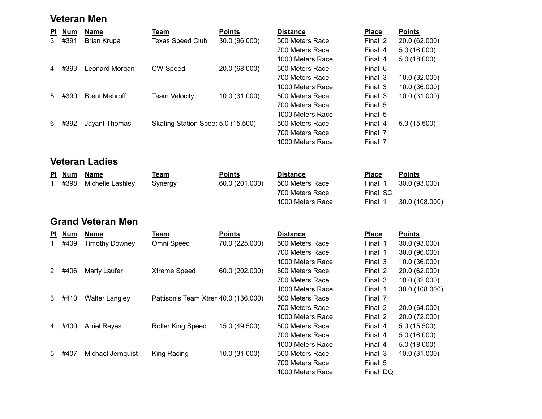#### Veteran Men

| $\overline{\mathsf{P}}$ | <b>Num</b> | <b>Name</b>              | <b>Team</b>                          | <b>Points</b>  | <b>Distance</b>  | <b>Place</b> | <b>Points</b>  |
|-------------------------|------------|--------------------------|--------------------------------------|----------------|------------------|--------------|----------------|
| $\overline{3}$          | #391       | <b>Brian Krupa</b>       | <b>Texas Speed Club</b>              | 30.0 (96.000)  | 500 Meters Race  | Final: 2     | 20.0 (62.000)  |
|                         |            |                          |                                      |                | 700 Meters Race  | Final: 4     | 5.0(16.000)    |
|                         |            |                          |                                      |                | 1000 Meters Race | Final: 4     | 5.0(18.000)    |
| 4                       | #393       | Leonard Morgan           | <b>CW Speed</b>                      | 20.0 (68.000)  | 500 Meters Race  | Final: 6     |                |
|                         |            |                          |                                      |                | 700 Meters Race  | Final: 3     | 10.0 (32.000)  |
|                         |            |                          |                                      |                | 1000 Meters Race | Final: 3     | 10.0 (36.000)  |
| 5                       | #390       | <b>Brent Mehroff</b>     | <b>Team Velocity</b>                 | 10.0 (31.000)  | 500 Meters Race  | Final: 3     | 10.0 (31.000)  |
|                         |            |                          |                                      |                | 700 Meters Race  | Final: 5     |                |
|                         |            |                          |                                      |                | 1000 Meters Race | Final: 5     |                |
| 6                       | #392       | Jayant Thomas            | Skating Station Speed 5.0 (15.500)   |                | 500 Meters Race  | Final: 4     | 5.0 (15.500)   |
|                         |            |                          |                                      |                | 700 Meters Race  | Final: 7     |                |
|                         |            |                          |                                      |                | 1000 Meters Race | Final: 7     |                |
|                         |            | <b>Veteran Ladies</b>    |                                      |                |                  |              |                |
|                         | <b>Num</b> | <b>Name</b>              | <b>Team</b>                          | <b>Points</b>  | <b>Distance</b>  | Place        | <b>Points</b>  |
| $\mathbf{1}$            | #398       | Michelle Lashley         | Synergy                              | 60.0 (201.000) | 500 Meters Race  | Final: 1     | 30.0 (93.000)  |
|                         |            |                          |                                      |                | 700 Meters Race  | Final: SC    |                |
|                         |            |                          |                                      |                | 1000 Meters Race | Final: 1     | 30.0 (108.000) |
|                         |            |                          |                                      |                |                  |              |                |
|                         |            | <b>Grand Veteran Men</b> |                                      |                |                  |              |                |
| <b>PI</b>               | <b>Num</b> | <b>Name</b>              | <b>Team</b>                          | <b>Points</b>  | <b>Distance</b>  | <b>Place</b> | <b>Points</b>  |
| $\mathbf{1}$            | #409       | <b>Timothy Downey</b>    | Omni Speed                           | 70.0 (225.000) | 500 Meters Race  | Final: 1     | 30.0 (93.000)  |
|                         |            |                          |                                      |                | 700 Meters Race  | Final: 1     | 30.0 (96.000)  |
|                         |            |                          |                                      |                | 1000 Meters Race | Final: 3     | 10.0 (36.000)  |
| $\mathbf{2}^{\circ}$    | #406       | <b>Marty Laufer</b>      | Xtreme Speed                         | 60.0 (202.000) | 500 Meters Race  | Final: 2     | 20.0 (62.000)  |
|                         |            |                          |                                      |                | 700 Meters Race  | Final: 3     | 10.0 (32.000)  |
|                         |            |                          |                                      |                | 1000 Meters Race | Final: 1     | 30.0 (108.000) |
| 3                       | #410       | <b>Walter Langley</b>    | Pattison's Team Xtren 40.0 (136.000) |                | 500 Meters Race  | Final: 7     |                |
|                         |            |                          |                                      |                | 700 Meters Race  | Final: 2     | 20.0 (64.000)  |
|                         |            |                          |                                      |                | 1000 Meters Race | Final: 2     | 20.0 (72.000)  |
| 4                       | #400       | <b>Arriel Reyes</b>      | <b>Roller King Speed</b>             | 15.0 (49.500)  | 500 Meters Race  | Final: 4     | 5.0 (15.500)   |
|                         |            |                          |                                      |                | 700 Meters Race  | Final: 4     | 5.0(16.000)    |
|                         |            |                          |                                      |                | 1000 Meters Race | Final: 4     | 5.0(18.000)    |
| 5                       | #407       | Michael Jernquist        | King Racing                          | 10.0 (31.000)  | 500 Meters Race  | Final: 3     | 10.0 (31.000)  |
|                         |            |                          |                                      |                | 700 Meters Race  | Final: 5     |                |
|                         |            |                          |                                      |                | 1000 Meters Race | Final: DQ    |                |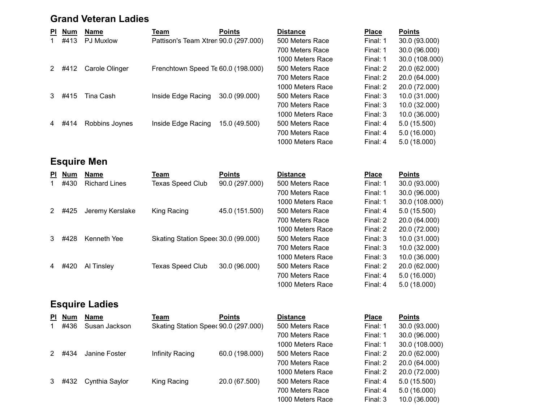### Grand Veteran Ladies

| <b>PI</b> | <b>Num</b> | <b>Name</b>      | Team                                 | <b>Points</b> | <b>Distance</b>  | <b>Place</b> | <b>Points</b>  |
|-----------|------------|------------------|--------------------------------------|---------------|------------------|--------------|----------------|
|           | #413       | <b>PJ Muxlow</b> | Pattison's Team Xtren 90.0 (297.000) |               | 500 Meters Race  | Final: 1     | 30.0 (93.000)  |
|           |            |                  |                                      |               | 700 Meters Race  | Final: 1     | 30.0 (96.000)  |
|           |            |                  |                                      |               | 1000 Meters Race | Final: 1     | 30.0 (108.000) |
|           | #412       | Carole Olinger   | Frenchtown Speed Te 60.0 (198.000)   |               | 500 Meters Race  | Final: 2     | 20.0 (62.000)  |
|           |            |                  |                                      |               | 700 Meters Race  | Final: 2     | 20.0 (64.000)  |
|           |            |                  |                                      |               | 1000 Meters Race | Final: 2     | 20.0 (72.000)  |
|           | #415       | Tina Cash        | Inside Edge Racing                   | 30.0 (99.000) | 500 Meters Race  | Final: 3     | 10.0 (31.000)  |
|           |            |                  |                                      |               | 700 Meters Race  | Final: 3     | 10.0 (32.000)  |
|           |            |                  |                                      |               | 1000 Meters Race | Final: 3     | 10.0 (36.000)  |
| 4         | #414       | Robbins Joynes   | Inside Edge Racing                   | 15.0 (49.500) | 500 Meters Race  | Final: 4     | 5.0(15.500)    |
|           |            |                  |                                      |               | 700 Meters Race  | Final: 4     | 5.0(16.000)    |

# Esquire Men

| <b>PI</b> | <b>Num</b> | Name                 | Team                               | <b>Points</b>  | <b>Distance</b>  | <b>Place</b> | <b>Points</b>  |
|-----------|------------|----------------------|------------------------------------|----------------|------------------|--------------|----------------|
|           | #430       | <b>Richard Lines</b> | Texas Speed Club                   | 90.0 (297.000) | 500 Meters Race  | Final: 1     | 30.0 (93.000)  |
|           |            |                      |                                    |                | 700 Meters Race  | Final: 1     | 30.0 (96.000)  |
|           |            |                      |                                    |                | 1000 Meters Race | Final: 1     | 30.0 (108.000) |
|           | #425       | Jeremy Kerslake      | King Racing                        | 45.0 (151.500) | 500 Meters Race  | Final: 4     | 5.0(15.500)    |
|           |            |                      |                                    |                | 700 Meters Race  | Final: 2     | 20.0 (64.000)  |
|           |            |                      |                                    |                | 1000 Meters Race | Final: 2     | 20.0 (72.000)  |
|           | #428       | Kenneth Yee          | Skating Station Spee 30.0 (99.000) |                | 500 Meters Race  | Final: 3     | 10.0 (31.000)  |
|           |            |                      |                                    |                | 700 Meters Race  | Final: 3     | 10.0 (32.000)  |
|           |            |                      |                                    |                | 1000 Meters Race | Final: 3     | 10.0 (36.000)  |
| 4         | #420       | Al Tinsley           | <b>Texas Speed Club</b>            | 30.0 (96.000)  | 500 Meters Race  | Final: 2     | 20.0 (62.000)  |
|           |            |                      |                                    |                | 700 Meters Race  | Final: 4     | 5.0(16.000)    |

# Esquire Ladies

| PI Num | Name           | Team                                | <b>Points</b>  | <b>Distance</b>  | <b>Place</b> | <b>Points</b> |
|--------|----------------|-------------------------------------|----------------|------------------|--------------|---------------|
| #436   | Susan Jackson  | Skating Station Spee 90.0 (297.000) |                | 500 Meters Race  | Final: 1     | 30.0 (93.000) |
|        |                |                                     |                | 700 Meters Race  | Final: 1     | 30.0 (96.000) |
|        |                |                                     |                | 1000 Meters Race | Final: 1     | 30.0 (108.000 |
| 2 #434 | Janine Foster  | Infinity Racing                     | 60.0 (198.000) | 500 Meters Race  | Final: 2     | 20.0 (62.000) |
|        |                |                                     |                | 700 Meters Race  | Final: 2     | 20.0 (64.000) |
|        |                |                                     |                | 1000 Meters Race | Final: 2     | 20.0 (72.000) |
| 3 #432 | Cynthia Saylor | King Racing                         | 20.0 (67.500)  | 500 Meters Race  | Final: 4     | 5.0(15.500)   |
|        |                |                                     |                |                  |              |               |

| <b>Distance</b>  |
|------------------|
| 500 Meters Race  |
| 700 Meters Race  |
| 1000 Meters Race |
| 500 Meters Race  |
| 700 Meters Race  |
| 1000 Meters Race |
| 500 Meters Race  |
| 700 Meters Race  |
| 1000 Matare Paca |

| 500 Meters Race  | Final: 4     | 5.0 (15.500)  |
|------------------|--------------|---------------|
| 700 Meters Race  | Final: $4$   | 5.0 (16.000)  |
| 1000 Meters Race | Final: 4     | 5.0 (18.000)  |
|                  |              |               |
|                  |              |               |
| <b>Distance</b>  | <b>Place</b> | <b>Points</b> |
| 500 Meters Race  | Final: 1     | 30.0 (93.000) |
| 700 Meters Race  | Final: 1     | 30.0 (96.000) |
| 1000 Meters Race | Final: 1     | 30.0 (108.00  |
| 500 Meters Race  | Final: 4     | 5.0 (15.500)  |
| 700 Meters Race  | Final: 2     | 20.0 (64.000) |
| 1000 Meters Race | Final: 2     | 20.0 (72.000) |
| 500 Meters Race  | Final: 3     | 10.0 (31.000) |

| 700 Meters Race  | Final: 3 | 10.0 (32.000) |
|------------------|----------|---------------|
| 1000 Meters Race | Final: 3 | 10.0 (36.000) |
| 500 Meters Race  | Final: 2 | 20.0 (62.000) |
| 700 Meters Race  | Final: 4 | 5.0(16.000)   |
| 1000 Meters Race | Final: 4 | 5.0(18.000)   |
|                  |          |               |

| Distance         | <b>Place</b> | <b>Points</b>  |
|------------------|--------------|----------------|
| 500 Meters Race  | Final: 1     | 30.0 (93.000)  |
| 700 Meters Race  | Final: 1     | 30.0 (96.000)  |
| 1000 Meters Race | Final: 1     | 30.0 (108.000) |
| 500 Meters Race  | Final: 2     | 20.0 (62.000)  |
| 700 Meters Race  | Final: 2     | 20.0 (64.000)  |
| 1000 Meters Race | Final: 2     | 20.0 (72.000)  |
| 500 Meters Race  | Final: 4     | 5.0 (15.500)   |
| 700 Meters Race  | Final: 4     | 5.0 (16.000)   |
| 1000 Meters Race | Final: 3     | 10.0 (36.000)  |
|                  |              |                |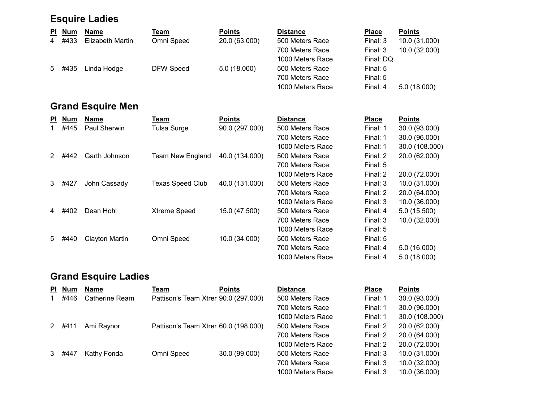# Esquire Ladies

| <b>PI</b> | <b>Num</b> | <b>Name</b>              | Team                    | <b>Points</b>  | <b>Distance</b>  | <b>Place</b> | <b>Points</b>  |
|-----------|------------|--------------------------|-------------------------|----------------|------------------|--------------|----------------|
| 4         | #433       | <b>Elizabeth Martin</b>  | Omni Speed              | 20.0 (63.000)  | 500 Meters Race  | Final: 3     | 10.0 (31.000)  |
|           |            |                          |                         |                | 700 Meters Race  | Final: 3     | 10.0 (32.000)  |
|           |            |                          |                         |                | 1000 Meters Race | Final: DQ    |                |
| 5         | #435       | Linda Hodge              | <b>DFW Speed</b>        | 5.0(18.000)    | 500 Meters Race  | Final: 5     |                |
|           |            |                          |                         |                | 700 Meters Race  | Final: 5     |                |
|           |            |                          |                         |                | 1000 Meters Race | Final: 4     | 5.0(18.000)    |
|           |            | <b>Grand Esquire Men</b> |                         |                |                  |              |                |
| PI.       | <b>Num</b> | <b>Name</b>              | Team                    | <b>Points</b>  | <b>Distance</b>  | <b>Place</b> | <b>Points</b>  |
|           | #445       | Paul Sherwin             | Tulsa Surge             | 90.0 (297.000) | 500 Meters Race  | Final: 1     | 30.0 (93.000)  |
|           |            |                          |                         |                | 700 Meters Race  | Final: 1     | 30.0 (96.000)  |
|           |            |                          |                         |                | 1000 Meters Race | Final: 1     | 30.0 (108.000) |
| 2         | #442       | Garth Johnson            | Team New England        | 40.0 (134.000) | 500 Meters Race  | Final: 2     | 20.0 (62.000)  |
|           |            |                          |                         |                | 700 Meters Race  | Final: 5     |                |
|           |            |                          |                         |                | 1000 Meters Race | Final: 2     | 20.0 (72.000)  |
| 3         |            |                          |                         |                |                  |              |                |
|           | #427       | John Cassady             | <b>Texas Speed Club</b> | 40.0 (131.000) | 500 Meters Race  | Final: 3     | 10.0 (31.000)  |

4 #402 Dean Hohl Xtreme Speed 15.0 (47.500) 500 Meters Race Final: 4 5.0 (15.500)

5 500 Meters Race Final: 5 #440 Clayton Martin Omni Speed 10.0 (34.000)

1000 Meters Race Final: 3 10.0 (36.000)

700 Meters Race Final: 3 10.0 (32.000)

700 Meters Race Final: 4 5.0 (16.000) 1000 Meters Race Final: 4 5.0 (18.000)

1000 Meters Race Final: 5

# Grand Esquire Ladies

| PI.           | <b>Num</b> | Name           | Team                                 | <b>Points</b> | <b>Distance</b>  | <b>Place</b> | <b>Points</b>  |
|---------------|------------|----------------|--------------------------------------|---------------|------------------|--------------|----------------|
|               | #446       | Catherine Ream | Pattison's Team Xtren 90.0 (297.000) |               | 500 Meters Race  | Final: 1     | 30.0 (93.000)  |
|               |            |                |                                      |               | 700 Meters Race  | Final: 1     | 30.0 (96.000)  |
|               |            |                |                                      |               | 1000 Meters Race | Final: 1     | 30.0 (108.000) |
|               | $2 + 411$  | Ami Raynor     | Pattison's Team Xtren 60.0 (198.000) |               | 500 Meters Race  | Final: 2     | 20.0 (62.000)  |
|               |            |                |                                      |               | 700 Meters Race  | Final: 2     | 20.0 (64.000)  |
|               |            |                |                                      |               | 1000 Meters Race | Final: 2     | 20.0 (72.000)  |
| $\mathcal{S}$ | #447       | Kathy Fonda    | Omni Speed                           | 30.0 (99.000) | 500 Meters Race  | Final: 3     | 10.0 (31.000)  |
|               |            |                |                                      |               | 700 Meters Race  | Final: 3     | 10.0 (32.000)  |
|               |            |                |                                      |               | 1000 Meters Race | Final: 3     | 10.0 (36.000)  |